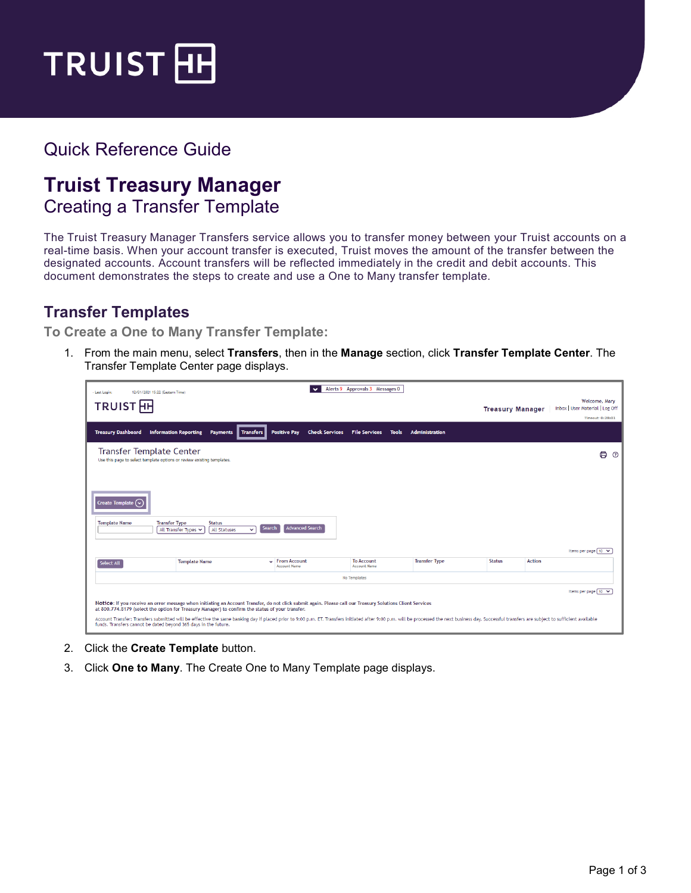

## Quick Reference Guide

## **Truist Treasury Manager**

Creating a Transfer Template

The Truist Treasury Manager Transfers service allows you to transfer money between your Truist accounts on a real-time basis. When your account transfer is executed, Truist moves the amount of the transfer between the designated accounts. Account transfers will be reflected immediately in the credit and debit accounts. This document demonstrates the steps to create and use a One to Many transfer template.

## **Transfer Templates**

**To Create a One to Many Transfer Template:**

1. From the main menu, select **Transfers**, then in the **Manage** section, click **Transfer Template Center**. The Transfer Template Center page displays.

| - Last Login:<br>12/01/2021 15:22 (Eastern Time)                                                                                                                                           |                                                                                                                                                                                                                                                                                                                                                                                                                                                                                                  | $\checkmark$                                                 | Alerts 9 Approvals 3 Messages 0           |                      |                         |        |                                                                      |
|--------------------------------------------------------------------------------------------------------------------------------------------------------------------------------------------|--------------------------------------------------------------------------------------------------------------------------------------------------------------------------------------------------------------------------------------------------------------------------------------------------------------------------------------------------------------------------------------------------------------------------------------------------------------------------------------------------|--------------------------------------------------------------|-------------------------------------------|----------------------|-------------------------|--------|----------------------------------------------------------------------|
| TRUIST <sub>HH</sub>                                                                                                                                                                       |                                                                                                                                                                                                                                                                                                                                                                                                                                                                                                  |                                                              |                                           |                      | <b>Treasury Manager</b> |        | Welcome, Mary<br>Inbox   User Material   Log Off<br>Timeout: 0:28:01 |
| <b>Treasury Dashboard</b>                                                                                                                                                                  | <b>Information Reporting</b><br>Transfers<br><b>Payments</b>                                                                                                                                                                                                                                                                                                                                                                                                                                     | <b>Positive Pay</b>                                          | <b>Check Services File Services Tools</b> | Administration       |                         |        |                                                                      |
| <b>Transfer Template Center</b><br>Use this page to select template options or review existing templates.<br>Create Template $\mathcal{C}$<br><b>Template Name</b><br><b>Transfer Type</b> | <b>Status</b>                                                                                                                                                                                                                                                                                                                                                                                                                                                                                    |                                                              |                                           |                      |                         |        | 8<br>$\odot$                                                         |
|                                                                                                                                                                                            | All Transfer Types<br>All Statuses<br>$\checkmark$                                                                                                                                                                                                                                                                                                                                                                                                                                               | Advanced Search<br>Search                                    |                                           |                      |                         |        | Items per page 10 V                                                  |
| Select All                                                                                                                                                                                 | <b>Template Name</b>                                                                                                                                                                                                                                                                                                                                                                                                                                                                             | $\overline{\phantom{a}}$ From Account<br><b>Account Name</b> | To Account<br><b>Account Name</b>         | <b>Transfer Type</b> | <b>Status</b>           | Action |                                                                      |
|                                                                                                                                                                                            |                                                                                                                                                                                                                                                                                                                                                                                                                                                                                                  |                                                              | No Templates                              |                      |                         |        |                                                                      |
| funds. Transfers cannot be dated beyond 365 days in the future.                                                                                                                            | Notice: If you receive an error message when initiating an Account Transfer, do not click submit again. Please call our Treasury Solutions Client Services<br>at 800.774.8179 (select the option for Treasury Manager) to confirm the status of your transfer.<br>Account Transfer: Transfers submitted will be effective the same banking day if placed prior to 9:00 p.m. ET. Transfers initiated after 9:00 p.m. will be processed the next business day. Successful transfers are subject to |                                                              |                                           |                      |                         |        | Items per page 10 V                                                  |

- 2. Click the **Create Template** button.
- 3. Click **One to Many**. The Create One to Many Template page displays.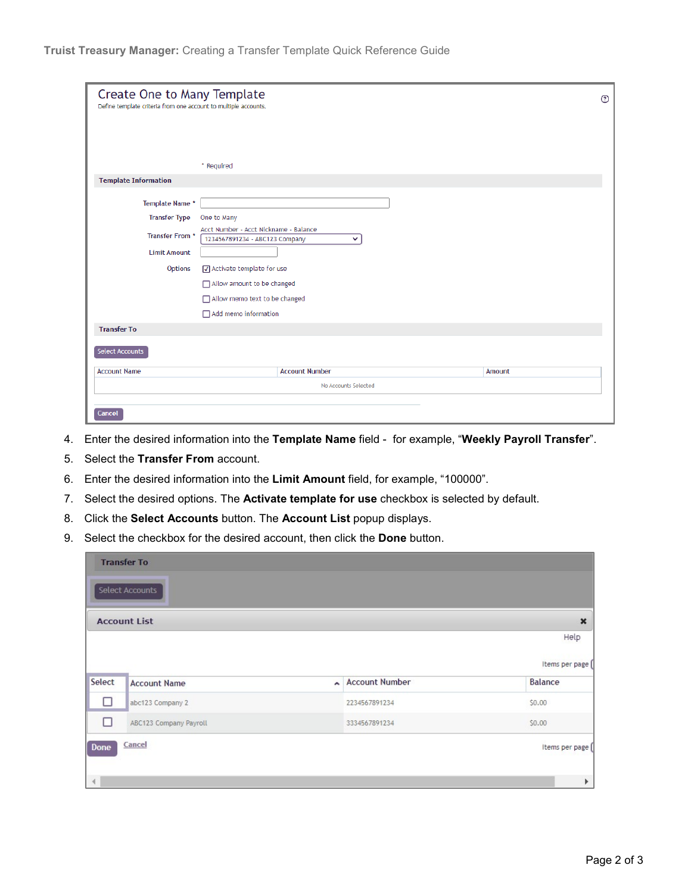| Create One to Many Template<br>Define template criteria from one account to multiple accounts. |                                                                                         |        |  |  |  |
|------------------------------------------------------------------------------------------------|-----------------------------------------------------------------------------------------|--------|--|--|--|
|                                                                                                |                                                                                         |        |  |  |  |
|                                                                                                |                                                                                         |        |  |  |  |
|                                                                                                | * Required                                                                              |        |  |  |  |
| <b>Template Information</b>                                                                    |                                                                                         |        |  |  |  |
| Template Name *                                                                                |                                                                                         |        |  |  |  |
| <b>Transfer Type</b>                                                                           | One to Many                                                                             |        |  |  |  |
| Transfer From *                                                                                | Acct Number - Acct Nickname - Balance<br>1234567891234 - ABC123 Company<br>$\checkmark$ |        |  |  |  |
| <b>Limit Amount</b>                                                                            |                                                                                         |        |  |  |  |
| Options                                                                                        | Activate template for use                                                               |        |  |  |  |
|                                                                                                | Allow amount to be changed                                                              |        |  |  |  |
|                                                                                                | Allow memo text to be changed<br>Add memo information                                   |        |  |  |  |
|                                                                                                |                                                                                         |        |  |  |  |
| <b>Transfer To</b>                                                                             |                                                                                         |        |  |  |  |
| <b>Select Accounts</b>                                                                         |                                                                                         |        |  |  |  |
|                                                                                                |                                                                                         |        |  |  |  |
| <b>Account Name</b>                                                                            | <b>Account Number</b>                                                                   | Amount |  |  |  |
|                                                                                                | No Accounts Selected                                                                    |        |  |  |  |
| <b>Cancel</b>                                                                                  |                                                                                         |        |  |  |  |

- 4. Enter the desired information into the **Template Name** field for example, "**Weekly Payroll Transfer**".
- 5. Select the **Transfer From** account.
- 6. Enter the desired information into the **Limit Amount** field, for example, "100000".
- 7. Select the desired options. The **Activate template for use** checkbox is selected by default.
- 8. Click the **Select Accounts** button. The **Account List** popup displays.
- 9. Select the checkbox for the desired account, then click the **Done** button.

|             | <b>Transfer To</b>     |        |                       |                       |
|-------------|------------------------|--------|-----------------------|-----------------------|
|             | Select Accounts        |        |                       |                       |
|             | <b>Account List</b>    |        |                       | $\boldsymbol{\times}$ |
|             |                        |        |                       | Help                  |
|             |                        |        |                       | Items per page [      |
| Select      | <b>Account Name</b>    | $\sim$ | <b>Account Number</b> | <b>Balance</b>        |
| □           | abc123 Company 2       |        | 2234567891234         | \$0.00                |
| □           | ABC123 Company Payroll |        | 3334567891234         | \$0.00                |
| <b>Done</b> | Cancel                 |        |                       | Items per page [      |
|             |                        |        |                       |                       |
|             |                        |        |                       | Þ                     |